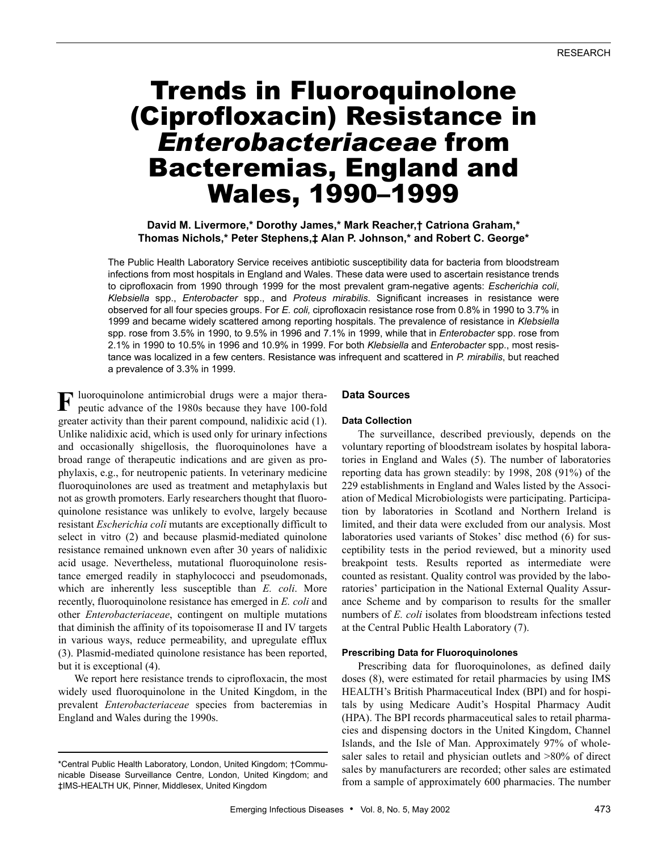# Trends in Fluoroquinolone (Ciprofloxacin) Resistance in *Enterobacteriaceae* from Bacteremias, England and Wales, 1990–1999

**David M. Livermore,\* Dorothy James,\* Mark Reacher,† Catriona Graham,\* Thomas Nichols,\* Peter Stephens,‡ Alan P. Johnson,\* and Robert C. George\***

The Public Health Laboratory Service receives antibiotic susceptibility data for bacteria from bloodstream infections from most hospitals in England and Wales. These data were used to ascertain resistance trends to ciprofloxacin from 1990 through 1999 for the most prevalent gram-negative agents: *Escherichia coli*, *Klebsiella* spp., *Enterobacter* spp., and *Proteus mirabilis*. Significant increases in resistance were observed for all four species groups. For *E. coli,* ciprofloxacin resistance rose from 0.8% in 1990 to 3.7% in 1999 and became widely scattered among reporting hospitals. The prevalence of resistance in *Klebsiella* spp. rose from 3.5% in 1990, to 9.5% in 1996 and 7.1% in 1999, while that in *Enterobacter* spp. rose from 2.1% in 1990 to 10.5% in 1996 and 10.9% in 1999. For both *Klebsiella* and *Enterobacter* spp., most resistance was localized in a few centers. Resistance was infrequent and scattered in *P. mirabilis*, but reached a prevalence of 3.3% in 1999.

luoroquinolone antimicrobial drugs were a major thera-**F**peutic advance of the 1980s because they have 100-fold greater activity than their parent compound, nalidixic acid (1). Unlike nalidixic acid, which is used only for urinary infections and occasionally shigellosis, the fluoroquinolones have a broad range of therapeutic indications and are given as prophylaxis, e.g., for neutropenic patients. In veterinary medicine fluoroquinolones are used as treatment and metaphylaxis but not as growth promoters. Early researchers thought that fluoroquinolone resistance was unlikely to evolve, largely because resistant *Escherichia coli* mutants are exceptionally difficult to select in vitro (2) and because plasmid-mediated quinolone resistance remained unknown even after 30 years of nalidixic acid usage. Nevertheless, mutational fluoroquinolone resistance emerged readily in staphylococci and pseudomonads, which are inherently less susceptible than *E. coli*. More recently, fluoroquinolone resistance has emerged in *E. coli* and other *Enterobacteriaceae*, contingent on multiple mutations that diminish the affinity of its topoisomerase II and IV targets in various ways, reduce permeability, and upregulate efflux (3). Plasmid-mediated quinolone resistance has been reported, but it is exceptional (4).

We report here resistance trends to ciprofloxacin, the most widely used fluoroquinolone in the United Kingdom, in the prevalent *Enterobacteriaceae* species from bacteremias in England and Wales during the 1990s.

#### **Data Sources**

## **Data Collection**

The surveillance, described previously, depends on the voluntary reporting of bloodstream isolates by hospital laboratories in England and Wales (5). The number of laboratories reporting data has grown steadily: by 1998, 208 (91%) of the 229 establishments in England and Wales listed by the Association of Medical Microbiologists were participating. Participation by laboratories in Scotland and Northern Ireland is limited, and their data were excluded from our analysis. Most laboratories used variants of Stokes' disc method (6) for susceptibility tests in the period reviewed, but a minority used breakpoint tests. Results reported as intermediate were counted as resistant. Quality control was provided by the laboratories' participation in the National External Quality Assurance Scheme and by comparison to results for the smaller numbers of *E. coli* isolates from bloodstream infections tested at the Central Public Health Laboratory (7).

#### **Prescribing Data for Fluoroquinolones**

Prescribing data for fluoroquinolones, as defined daily doses (8), were estimated for retail pharmacies by using IMS HEALTH's British Pharmaceutical Index (BPI) and for hospitals by using Medicare Audit's Hospital Pharmacy Audit (HPA). The BPI records pharmaceutical sales to retail pharmacies and dispensing doctors in the United Kingdom, Channel Islands, and the Isle of Man. Approximately 97% of wholesaler sales to retail and physician outlets and  $>80\%$  of direct sales by manufacturers are recorded; other sales are estimated from a sample of approximately 600 pharmacies. The number

<sup>\*</sup>Central Public Health Laboratory, London, United Kingdom; †Communicable Disease Surveillance Centre, London, United Kingdom; and ‡IMS-HEALTH UK, Pinner, Middlesex, United Kingdom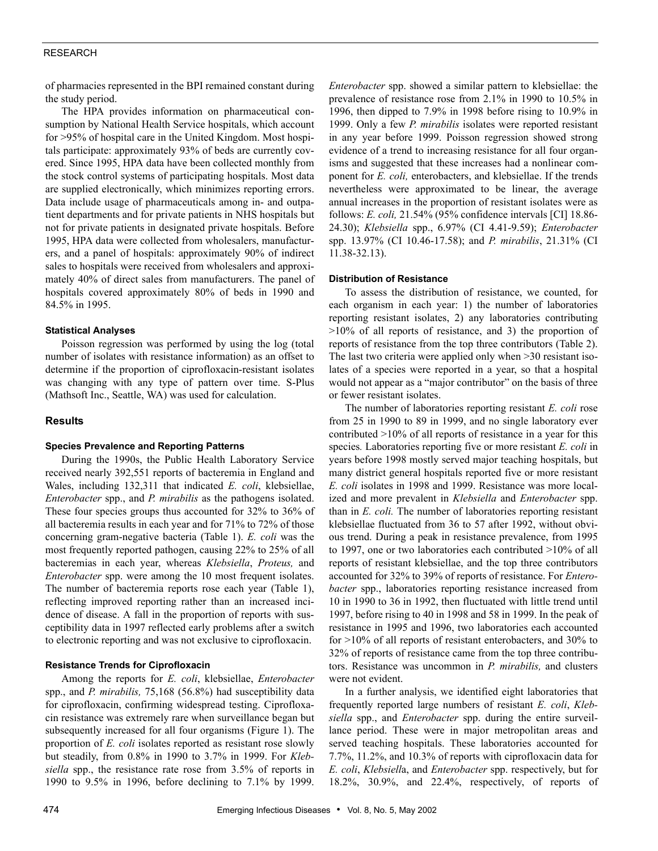## RESEARCH

of pharmacies represented in the BPI remained constant during the study period.

The HPA provides information on pharmaceutical consumption by National Health Service hospitals, which account for >95% of hospital care in the United Kingdom. Most hospitals participate: approximately 93% of beds are currently covered. Since 1995, HPA data have been collected monthly from the stock control systems of participating hospitals. Most data are supplied electronically, which minimizes reporting errors. Data include usage of pharmaceuticals among in- and outpatient departments and for private patients in NHS hospitals but not for private patients in designated private hospitals. Before 1995, HPA data were collected from wholesalers, manufacturers, and a panel of hospitals: approximately 90% of indirect sales to hospitals were received from wholesalers and approximately 40% of direct sales from manufacturers. The panel of hospitals covered approximately 80% of beds in 1990 and 84.5% in 1995.

## **Statistical Analyses**

Poisson regression was performed by using the log (total number of isolates with resistance information) as an offset to determine if the proportion of ciprofloxacin-resistant isolates was changing with any type of pattern over time. S-Plus (Mathsoft Inc., Seattle, WA) was used for calculation.

# **Results**

#### **Species Prevalence and Reporting Patterns**

During the 1990s, the Public Health Laboratory Service received nearly 392,551 reports of bacteremia in England and Wales, including 132,311 that indicated *E. coli*, klebsiellae, *Enterobacter* spp., and *P. mirabilis* as the pathogens isolated. These four species groups thus accounted for 32% to 36% of all bacteremia results in each year and for 71% to 72% of those concerning gram-negative bacteria (Table 1). *E. coli* was the most frequently reported pathogen, causing 22% to 25% of all bacteremias in each year, whereas *Klebsiella*, *Proteus,* and *Enterobacter* spp. were among the 10 most frequent isolates. The number of bacteremia reports rose each year (Table 1), reflecting improved reporting rather than an increased incidence of disease. A fall in the proportion of reports with susceptibility data in 1997 reflected early problems after a switch to electronic reporting and was not exclusive to ciprofloxacin.

## **Resistance Trends for Ciprofloxacin**

Among the reports for *E. coli*, klebsiellae, *Enterobacter* spp., and *P. mirabilis,* 75,168 (56.8%) had susceptibility data for ciprofloxacin, confirming widespread testing. Ciprofloxacin resistance was extremely rare when surveillance began but subsequently increased for all four organisms (Figure 1). The proportion of *E. coli* isolates reported as resistant rose slowly but steadily, from 0.8% in 1990 to 3.7% in 1999. For *Klebsiella* spp., the resistance rate rose from 3.5% of reports in 1990 to 9.5% in 1996, before declining to 7.1% by 1999.

*Enterobacter* spp. showed a similar pattern to klebsiellae: the prevalence of resistance rose from 2.1% in 1990 to 10.5% in 1996, then dipped to 7.9% in 1998 before rising to 10.9% in 1999. Only a few *P. mirabilis* isolates were reported resistant in any year before 1999. Poisson regression showed strong evidence of a trend to increasing resistance for all four organisms and suggested that these increases had a nonlinear component for *E. coli,* enterobacters, and klebsiellae. If the trends nevertheless were approximated to be linear, the average annual increases in the proportion of resistant isolates were as follows: *E. coli,* 21.54% (95% confidence intervals [CI] 18.86- 24.30); *Klebsiella* spp., 6.97% (CI 4.41-9.59); *Enterobacter* spp. 13.97% (CI 10.46-17.58); and *P. mirabilis*, 21.31% (CI 11.38-32.13).

#### **Distribution of Resistance**

To assess the distribution of resistance, we counted, for each organism in each year: 1) the number of laboratories reporting resistant isolates, 2) any laboratories contributing  $>10\%$  of all reports of resistance, and 3) the proportion of reports of resistance from the top three contributors (Table 2). The last two criteria were applied only when >30 resistant isolates of a species were reported in a year, so that a hospital would not appear as a "major contributor" on the basis of three or fewer resistant isolates.

The number of laboratories reporting resistant *E. coli* rose from 25 in 1990 to 89 in 1999, and no single laboratory ever contributed >10% of all reports of resistance in a year for this species*.* Laboratories reporting five or more resistant *E. coli* in years before 1998 mostly served major teaching hospitals, but many district general hospitals reported five or more resistant *E. coli* isolates in 1998 and 1999. Resistance was more localized and more prevalent in *Klebsiella* and *Enterobacter* spp. than in *E. coli.* The number of laboratories reporting resistant klebsiellae fluctuated from 36 to 57 after 1992, without obvious trend. During a peak in resistance prevalence, from 1995 to 1997, one or two laboratories each contributed >10% of all reports of resistant klebsiellae, and the top three contributors accounted for 32% to 39% of reports of resistance. For *Enterobacter* spp., laboratories reporting resistance increased from 10 in 1990 to 36 in 1992, then fluctuated with little trend until 1997, before rising to 40 in 1998 and 58 in 1999. In the peak of resistance in 1995 and 1996, two laboratories each accounted for >10% of all reports of resistant enterobacters, and 30% to 32% of reports of resistance came from the top three contributors. Resistance was uncommon in *P. mirabilis,* and clusters were not evident.

In a further analysis, we identified eight laboratories that frequently reported large numbers of resistant *E. coli*, *Klebsiella* spp., and *Enterobacter* spp. during the entire surveillance period. These were in major metropolitan areas and served teaching hospitals. These laboratories accounted for 7.7%, 11.2%, and 10.3% of reports with ciprofloxacin data for *E. coli*, *Klebsiell*a, and *Enterobacter* spp. respectively, but for 18.2%, 30.9%, and 22.4%, respectively, of reports of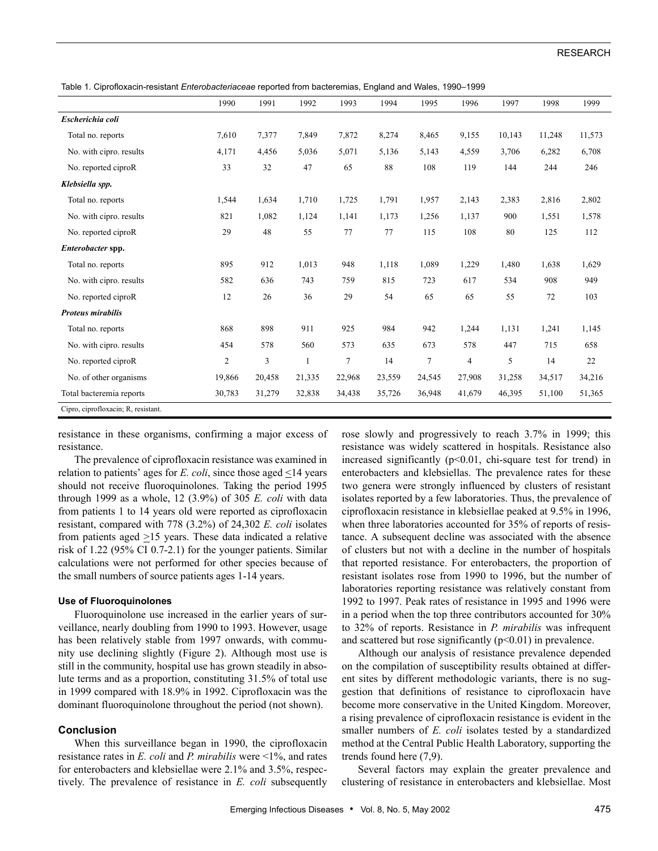Table 1. Ciprofloxacin-resistant *Enterobacteriaceae* reported from bacteremias, England and Wales, 1990–1999

|                                     | 1990           | 1991   | 1992         | 1993           | 1994   | 1995   | 1996           | 1997   | 1998   | 1999   |
|-------------------------------------|----------------|--------|--------------|----------------|--------|--------|----------------|--------|--------|--------|
| Escherichia coli                    |                |        |              |                |        |        |                |        |        |        |
| Total no. reports                   | 7,610          | 7,377  | 7,849        | 7,872          | 8,274  | 8,465  | 9,155          | 10,143 | 11,248 | 11,573 |
| No. with cipro. results             | 4,171          | 4,456  | 5,036        | 5,071          | 5,136  | 5,143  | 4,559          | 3,706  | 6,282  | 6,708  |
| No. reported ciproR                 | 33             | 32     | 47           | 65             | 88     | 108    | 119            | 144    | 244    | 246    |
| Klebsiella spp.                     |                |        |              |                |        |        |                |        |        |        |
| Total no. reports                   | 1,544          | 1,634  | 1,710        | 1,725          | 1,791  | 1,957  | 2,143          | 2,383  | 2,816  | 2,802  |
| No. with cipro. results             | 821            | 1,082  | 1,124        | 1,141          | 1,173  | 1,256  | 1,137          | 900    | 1,551  | 1,578  |
| No. reported ciproR                 | 29             | 48     | 55           | 77             | 77     | 115    | 108            | 80     | 125    | 112    |
| Enterobacter spp.                   |                |        |              |                |        |        |                |        |        |        |
| Total no. reports                   | 895            | 912    | 1,013        | 948            | 1,118  | 1,089  | 1,229          | 1,480  | 1,638  | 1,629  |
| No. with cipro. results             | 582            | 636    | 743          | 759            | 815    | 723    | 617            | 534    | 908    | 949    |
| No. reported ciproR                 | 12             | 26     | 36           | 29             | 54     | 65     | 65             | 55     | 72     | 103    |
| <b>Proteus mirabilis</b>            |                |        |              |                |        |        |                |        |        |        |
| Total no. reports                   | 868            | 898    | 911          | 925            | 984    | 942    | 1,244          | 1,131  | 1,241  | 1,145  |
| No. with cipro. results             | 454            | 578    | 560          | 573            | 635    | 673    | 578            | 447    | 715    | 658    |
| No. reported ciproR                 | $\overline{2}$ | 3      | $\mathbf{1}$ | $\overline{7}$ | 14     | $\tau$ | $\overline{4}$ | 5      | 14     | 22     |
| No. of other organisms              | 19,866         | 20,458 | 21,335       | 22,968         | 23,559 | 24,545 | 27,908         | 31,258 | 34,517 | 34,216 |
| Total bacteremia reports            | 30,783         | 31,279 | 32,838       | 34,438         | 35,726 | 36,948 | 41,679         | 46,395 | 51,100 | 51,365 |
| Cipro, ciprofloxacin; R, resistant. |                |        |              |                |        |        |                |        |        |        |

resistance in these organisms, confirming a major excess of resistance.

The prevalence of ciprofloxacin resistance was examined in relation to patients' ages for *E. coli*, since those aged  $\leq$ 14 years should not receive fluoroquinolones. Taking the period 1995 through 1999 as a whole, 12 (3.9%) of 305 *E. coli* with data from patients 1 to 14 years old were reported as ciprofloxacin resistant, compared with 778 (3.2%) of 24,302 *E. coli* isolates from patients aged  $\geq$ 15 years. These data indicated a relative risk of 1.22 (95% CI 0.7-2.1) for the younger patients. Similar calculations were not performed for other species because of the small numbers of source patients ages 1-14 years.

## **Use of Fluoroquinolones**

Fluoroquinolone use increased in the earlier years of surveillance, nearly doubling from 1990 to 1993. However, usage has been relatively stable from 1997 onwards, with community use declining slightly (Figure 2). Although most use is still in the community, hospital use has grown steadily in absolute terms and as a proportion, constituting 31.5% of total use in 1999 compared with 18.9% in 1992. Ciprofloxacin was the dominant fluoroquinolone throughout the period (not shown).

# **Conclusion**

When this surveillance began in 1990, the ciprofloxacin resistance rates in *E. coli* and *P. mirabilis* were <1%, and rates for enterobacters and klebsiellae were 2.1% and 3.5%, respectively. The prevalence of resistance in *E. coli* subsequently rose slowly and progressively to reach 3.7% in 1999; this resistance was widely scattered in hospitals. Resistance also increased significantly  $(p<0.01$ , chi-square test for trend) in enterobacters and klebsiellas. The prevalence rates for these two genera were strongly influenced by clusters of resistant isolates reported by a few laboratories. Thus, the prevalence of ciprofloxacin resistance in klebsiellae peaked at 9.5% in 1996, when three laboratories accounted for 35% of reports of resistance. A subsequent decline was associated with the absence of clusters but not with a decline in the number of hospitals that reported resistance. For enterobacters, the proportion of resistant isolates rose from 1990 to 1996, but the number of laboratories reporting resistance was relatively constant from 1992 to 1997. Peak rates of resistance in 1995 and 1996 were in a period when the top three contributors accounted for 30% to 32% of reports. Resistance in *P. mirabilis* was infrequent and scattered but rose significantly  $(p<0.01)$  in prevalence.

Although our analysis of resistance prevalence depended on the compilation of susceptibility results obtained at different sites by different methodologic variants, there is no suggestion that definitions of resistance to ciprofloxacin have become more conservative in the United Kingdom. Moreover, a rising prevalence of ciprofloxacin resistance is evident in the smaller numbers of *E. coli* isolates tested by a standardized method at the Central Public Health Laboratory, supporting the trends found here (7,9).

Several factors may explain the greater prevalence and clustering of resistance in enterobacters and klebsiellae. Most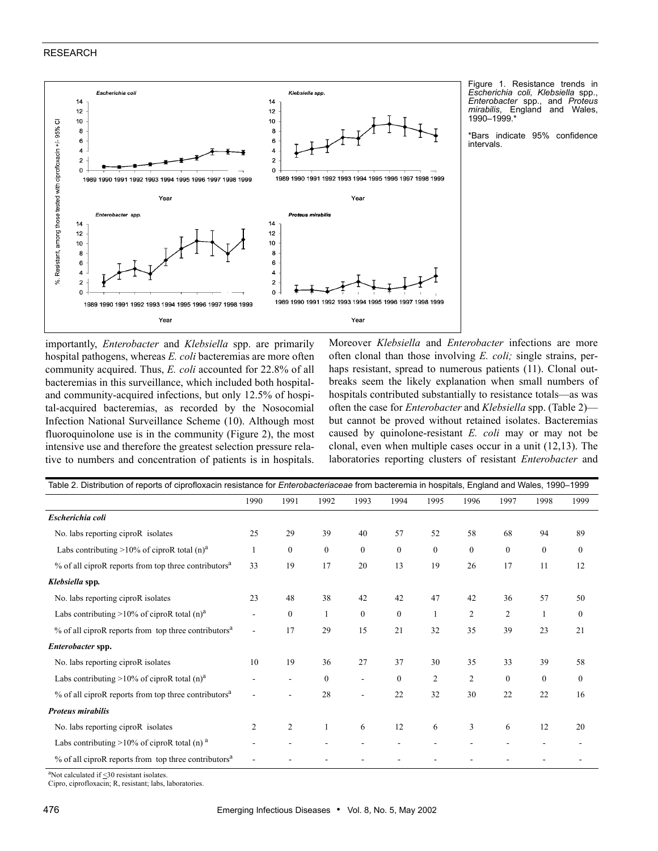## RESEARCH



Figure 1. Resistance trends in *Escherichia coli, Klebsiella* spp., *Enterobacter* spp., and *Proteus mirabilis*, England and Wales, 1990–1999.\*

\*Bars indicate 95% confidence intervals.

importantly, *Enterobacter* and *Klebsiella* spp. are primarily hospital pathogens, whereas *E. coli* bacteremias are more often community acquired. Thus, *E. coli* accounted for 22.8% of all bacteremias in this surveillance, which included both hospitaland community-acquired infections, but only 12.5% of hospital-acquired bacteremias, as recorded by the Nosocomial Infection National Surveillance Scheme (10). Although most fluoroquinolone use is in the community (Figure 2), the most intensive use and therefore the greatest selection pressure relative to numbers and concentration of patients is in hospitals.

Moreover *Klebsiella* and *Enterobacter* infections are more often clonal than those involving *E. coli;* single strains, perhaps resistant, spread to numerous patients (11). Clonal outbreaks seem the likely explanation when small numbers of hospitals contributed substantially to resistance totals—as was often the case for *Enterobacter* and *Klebsiella* spp. (Table 2) but cannot be proved without retained isolates. Bacteremias caused by quinolone-resistant *E. coli* may or may not be clonal, even when multiple cases occur in a unit (12,13). The laboratories reporting clusters of resistant *Enterobacter* and

| Table 2. Distribution of reports of ciprofloxacin resistance for Enterobacteriaceae from bacteremia in hospitals, England and Wales, 1990-1999 |      |                |                |              |              |                |                |                |              |              |
|------------------------------------------------------------------------------------------------------------------------------------------------|------|----------------|----------------|--------------|--------------|----------------|----------------|----------------|--------------|--------------|
|                                                                                                                                                | 1990 | 1991           | 1992           | 1993         | 1994         | 1995           | 1996           | 1997           | 1998         | 1999         |
| Escherichia coli                                                                                                                               |      |                |                |              |              |                |                |                |              |              |
| No. labs reporting ciproR isolates                                                                                                             |      | 29             | 39             | 40           | 57           | 52             | 58             | 68             | 94           | 89           |
| Labs contributing >10% of ciproR total $(n)^a$                                                                                                 |      | 0              | $\overline{0}$ | $\mathbf{0}$ | $\mathbf{0}$ | $\mathbf{0}$   | $\mathbf{0}$   | $\mathbf{0}$   | $\mathbf{0}$ | $\mathbf{0}$ |
| % of all ciproR reports from top three contributors <sup>a</sup>                                                                               |      | 19             | 17             | 20           | 13           | 19             | 26             | 17             | 11           | 12           |
| Klebsiella spp.                                                                                                                                |      |                |                |              |              |                |                |                |              |              |
| No. labs reporting ciproR isolates                                                                                                             |      | 48             | 38             | 42           | 42           | 47             | 42             | 36             | 57           | 50           |
| Labs contributing >10% of ciproR total $(n)^a$                                                                                                 |      | $\overline{0}$ |                | $\mathbf{0}$ | $\mathbf{0}$ |                | $\overline{2}$ | $\overline{2}$ |              | $\mathbf{0}$ |
| % of all ciproR reports from top three contributors <sup>a</sup>                                                                               |      | 17             | 29             | 15           | 21           | 32             | 35             | 39             | 23           | 21           |
| Enterobacter spp.                                                                                                                              |      |                |                |              |              |                |                |                |              |              |
| No. labs reporting ciproR isolates                                                                                                             |      | 19             | 36             | 27           | 37           | 30             | 35             | 33             | 39           | 58           |
| Labs contributing >10% of ciproR total $(n)^a$                                                                                                 |      |                | $\mathbf{0}$   |              | $\mathbf{0}$ | $\overline{2}$ | $\overline{2}$ | $\mathbf{0}$   | $\mathbf{0}$ | $\bf{0}$     |
| % of all ciproR reports from top three contributors <sup>a</sup>                                                                               |      |                | 28             |              | 22           | 32             | 30             | 22             | 22           | 16           |
| <b>Proteus mirabilis</b>                                                                                                                       |      |                |                |              |              |                |                |                |              |              |
| No. labs reporting ciproR isolates                                                                                                             |      | $\overline{c}$ | 1              | 6            | 12           | 6              | 3              | 6              | 12           | 20           |
| Labs contributing $>10\%$ of ciproR total (n) <sup>a</sup>                                                                                     |      |                |                |              |              |                |                |                |              |              |
| % of all ciproR reports from top three contributors <sup>a</sup>                                                                               |      |                |                |              |              |                |                |                |              |              |

aNot calculated if  $\leq$ 30 resistant isolates.

Cipro, ciprofloxacin; R, resistant; labs, laboratories.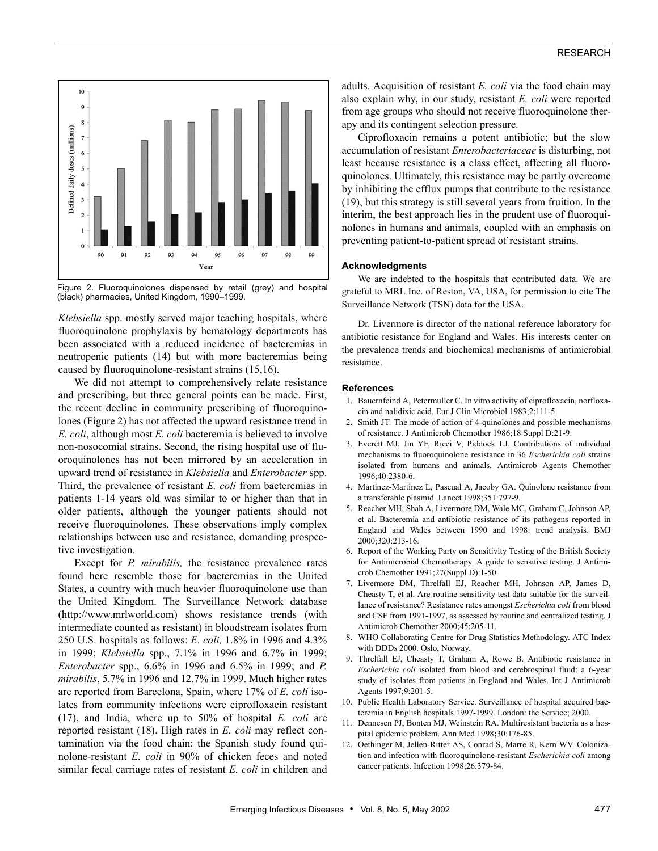

Figure 2. Fluoroquinolones dispensed by retail (grey) and hospital (black) pharmacies, United Kingdom, 1990–1999.

*Klebsiella* spp. mostly served major teaching hospitals, where fluoroquinolone prophylaxis by hematology departments has been associated with a reduced incidence of bacteremias in neutropenic patients (14) but with more bacteremias being caused by fluoroquinolone-resistant strains (15,16).

We did not attempt to comprehensively relate resistance and prescribing, but three general points can be made. First, the recent decline in community prescribing of fluoroquinolones (Figure 2) has not affected the upward resistance trend in *E. coli*, although most *E. coli* bacteremia is believed to involve non-nosocomial strains. Second, the rising hospital use of fluoroquinolones has not been mirrored by an acceleration in upward trend of resistance in *Klebsiella* and *Enterobacter* spp. Third, the prevalence of resistant *E. coli* from bacteremias in patients 1-14 years old was similar to or higher than that in older patients, although the younger patients should not receive fluoroquinolones. These observations imply complex relationships between use and resistance, demanding prospective investigation.

Except for *P. mirabilis,* the resistance prevalence rates found here resemble those for bacteremias in the United States, a country with much heavier fluoroquinolone use than the United Kingdom. The Surveillance Network database (http://www.mrlworld.com) shows resistance trends (with intermediate counted as resistant) in bloodstream isolates from 250 U.S. hospitals as follows: *E. coli,* 1.8% in 1996 and 4.3% in 1999; *Klebsiella* spp., 7.1% in 1996 and 6.7% in 1999; *Enterobacter* spp., 6.6% in 1996 and 6.5% in 1999; and *P. mirabilis*, 5.7% in 1996 and 12.7% in 1999. Much higher rates are reported from Barcelona, Spain, where 17% of *E. coli* isolates from community infections were ciprofloxacin resistant (17), and India, where up to 50% of hospital *E. coli* are reported resistant (18). High rates in *E. coli* may reflect contamination via the food chain: the Spanish study found quinolone-resistant *E. coli* in 90% of chicken feces and noted similar fecal carriage rates of resistant *E. coli* in children and adults. Acquisition of resistant *E. coli* via the food chain may also explain why, in our study, resistant *E. coli* were reported from age groups who should not receive fluoroquinolone therapy and its contingent selection pressure.

Ciprofloxacin remains a potent antibiotic; but the slow accumulation of resistant *Enterobacteriaceae* is disturbing, not least because resistance is a class effect, affecting all fluoroquinolones. Ultimately, this resistance may be partly overcome by inhibiting the efflux pumps that contribute to the resistance (19), but this strategy is still several years from fruition. In the interim, the best approach lies in the prudent use of fluoroquinolones in humans and animals, coupled with an emphasis on preventing patient-to-patient spread of resistant strains.

#### **Acknowledgments**

We are indebted to the hospitals that contributed data. We are grateful to MRL Inc. of Reston, VA, USA, for permission to cite The Surveillance Network (TSN) data for the USA.

Dr. Livermore is director of the national reference laboratory for antibiotic resistance for England and Wales. His interests center on the prevalence trends and biochemical mechanisms of antimicrobial resistance.

# **References**

- 1. Bauernfeind A, Petermuller C. In vitro activity of ciprofloxacin, norfloxacin and nalidixic acid. Eur J Clin Microbiol 1983;2:111-5.
- 2. Smith JT. The mode of action of 4-quinolones and possible mechanisms of resistance. J Antimicrob Chemother 1986;18 Suppl D:21-9.
- 3. Everett MJ, Jin YF, Ricci V, Piddock LJ. Contributions of individual mechanisms to fluoroquinolone resistance in 36 *Escherichia coli* strains isolated from humans and animals. Antimicrob Agents Chemother 1996;40:2380-6.
- 4. Martinez-Martinez L, Pascual A, Jacoby GA. Quinolone resistance from a transferable plasmid. Lancet 1998;351:797-9.
- 5. Reacher MH, Shah A, Livermore DM, Wale MC, Graham C, Johnson AP, et al. Bacteremia and antibiotic resistance of its pathogens reported in England and Wales between 1990 and 1998: trend analysis*.* BMJ 2000;320:213-16.
- 6. Report of the Working Party on Sensitivity Testing of the British Society for Antimicrobial Chemotherapy. A guide to sensitive testing. J Antimicrob Chemother 1991;27(Suppl D):1-50.
- 7. Livermore DM, Threlfall EJ, Reacher MH, Johnson AP, James D, Cheasty T, et al. Are routine sensitivity test data suitable for the surveillance of resistance? Resistance rates amongst *Escherichia coli* from blood and CSF from 1991-1997, as assessed by routine and centralized testing. J Antimicrob Chemother 2000;45:205-11.
- 8. WHO Collaborating Centre for Drug Statistics Methodology. ATC Index with DDDs 2000. Oslo, Norway.
- 9. Threlfall EJ, Cheasty T, Graham A, Rowe B. Antibiotic resistance in *Escherichia coli* isolated from blood and cerebrospinal fluid: a 6-year study of isolates from patients in England and Wales. Int J Antimicrob Agents 1997;9:201-5.
- 10. Public Health Laboratory Service. Surveillance of hospital acquired bacteremia in English hospitals 1997-1999. London: the Service; 2000.
- Dennesen PJ, Bonten MJ, Weinstein RA. Multiresistant bacteria as a hospital epidemic problem. Ann Med 1998**;**30:176-85.
- 12. Oethinger M, Jellen-Ritter AS, Conrad S, Marre R, Kern WV. Colonization and infection with fluoroquinolone-resistant *Escherichia coli* among cancer patients. Infection 1998;26:379-84.